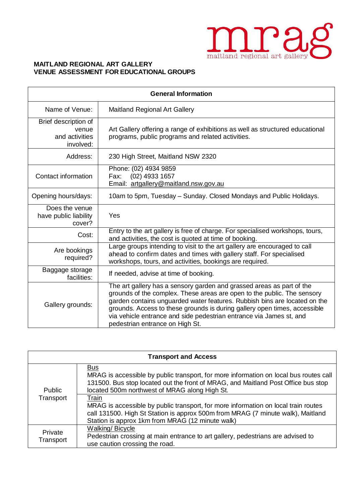

## **MAITLAND REGIONAL ART GALLERY VENUE ASSESSMENT FOR EDUCATIONAL GROUPS**

| <b>General Information</b>                                   |                                                                                                                                                                                                                                                                                                                                                                                                                      |  |
|--------------------------------------------------------------|----------------------------------------------------------------------------------------------------------------------------------------------------------------------------------------------------------------------------------------------------------------------------------------------------------------------------------------------------------------------------------------------------------------------|--|
| Name of Venue:                                               | <b>Maitland Regional Art Gallery</b>                                                                                                                                                                                                                                                                                                                                                                                 |  |
| Brief description of<br>venue<br>and activities<br>involved: | Art Gallery offering a range of exhibitions as well as structured educational<br>programs, public programs and related activities.                                                                                                                                                                                                                                                                                   |  |
| Address:                                                     | 230 High Street, Maitland NSW 2320                                                                                                                                                                                                                                                                                                                                                                                   |  |
| Contact information                                          | Phone: (02) 4934 9859<br>Fax: (02) 4933 1657<br>Email: artgallery@maitland.nsw.gov.au                                                                                                                                                                                                                                                                                                                                |  |
| Opening hours/days:                                          | 10am to 5pm, Tuesday – Sunday. Closed Mondays and Public Holidays.                                                                                                                                                                                                                                                                                                                                                   |  |
| Does the venue<br>have public liability<br>cover?            | Yes                                                                                                                                                                                                                                                                                                                                                                                                                  |  |
| Cost:                                                        | Entry to the art gallery is free of charge. For specialised workshops, tours,<br>and activities, the cost is quoted at time of booking.                                                                                                                                                                                                                                                                              |  |
| Are bookings<br>required?                                    | Large groups intending to visit to the art gallery are encouraged to call<br>ahead to confirm dates and times with gallery staff. For specialised<br>workshops, tours, and activities, bookings are required.                                                                                                                                                                                                        |  |
| Baggage storage<br>facilities:                               | If needed, advise at time of booking.                                                                                                                                                                                                                                                                                                                                                                                |  |
| Gallery grounds:                                             | The art gallery has a sensory garden and grassed areas as part of the<br>grounds of the complex. These areas are open to the public. The sensory<br>garden contains unguarded water features. Rubbish bins are located on the<br>grounds. Access to these grounds is during gallery open times, accessible<br>via vehicle entrance and side pedestrian entrance via James st, and<br>pedestrian entrance on High St. |  |

| <b>Transport and Access</b> |                                                                                                                                                                                                                                                                                                                                                                                                                                                                                 |  |
|-----------------------------|---------------------------------------------------------------------------------------------------------------------------------------------------------------------------------------------------------------------------------------------------------------------------------------------------------------------------------------------------------------------------------------------------------------------------------------------------------------------------------|--|
| <b>Public</b><br>Transport  | <b>Bus</b><br>MRAG is accessible by public transport, for more information on local bus routes call<br>131500. Bus stop located out the front of MRAG, and Maitland Post Office bus stop<br>located 500m northwest of MRAG along High St.<br>Train<br>MRAG is accessible by public transport, for more information on local train routes<br>call 131500. High St Station is approx 500m from MRAG (7 minute walk), Maitland<br>Station is approx 1km from MRAG (12 minute walk) |  |
| Private<br>Transport        | Walking/Bicycle<br>Pedestrian crossing at main entrance to art gallery, pedestrians are advised to<br>use caution crossing the road.                                                                                                                                                                                                                                                                                                                                            |  |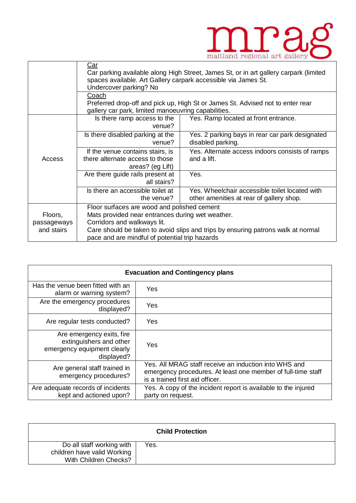

|             | <u>Car</u><br>Car parking available along High Street, James St, or in art gallery carpark (limited<br>spaces available. Art Gallery carpark accessible via James St.<br>Undercover parking? No<br>Coach<br>Preferred drop-off and pick up, High St or James St. Advised not to enter rear |                                                                                            |  |  |
|-------------|--------------------------------------------------------------------------------------------------------------------------------------------------------------------------------------------------------------------------------------------------------------------------------------------|--------------------------------------------------------------------------------------------|--|--|
|             | gallery car park, limited manoeuvring capabilities.                                                                                                                                                                                                                                        |                                                                                            |  |  |
|             | Is there ramp access to the<br>venue?                                                                                                                                                                                                                                                      | Yes. Ramp located at front entrance.                                                       |  |  |
| Access      | Is there disabled parking at the<br>venue?                                                                                                                                                                                                                                                 | Yes. 2 parking bays in rear car park designated<br>disabled parking.                       |  |  |
|             | If the venue contains stairs, is<br>there alternate access to those<br>areas? (eg Lift)                                                                                                                                                                                                    | Yes. Alternate access indoors consists of ramps<br>and a lift.                             |  |  |
|             | Are there guide rails present at<br>all stairs?                                                                                                                                                                                                                                            | Yes.                                                                                       |  |  |
|             | Is there an accessible toilet at<br>the venue?                                                                                                                                                                                                                                             | Yes. Wheelchair accessible toilet located with<br>other amenities at rear of gallery shop. |  |  |
|             | Floor surfaces are wood and polished cement                                                                                                                                                                                                                                                |                                                                                            |  |  |
| Floors,     | Mats provided near entrances during wet weather.                                                                                                                                                                                                                                           |                                                                                            |  |  |
| passageways | Corridors and walkways lit.                                                                                                                                                                                                                                                                |                                                                                            |  |  |
| and stairs  | Care should be taken to avoid slips and trips by ensuring patrons walk at normal<br>pace and are mindful of potential trip hazards                                                                                                                                                         |                                                                                            |  |  |

| <b>Evacuation and Contingency plans</b>                                                           |                                                                                                                                                          |  |
|---------------------------------------------------------------------------------------------------|----------------------------------------------------------------------------------------------------------------------------------------------------------|--|
| Has the venue been fitted with an<br>alarm or warning system?                                     | Yes                                                                                                                                                      |  |
| Are the emergency procedures<br>displayed?                                                        | Yes                                                                                                                                                      |  |
| Are regular tests conducted?                                                                      | Yes                                                                                                                                                      |  |
| Are emergency exits, fire<br>extinguishers and other<br>emergency equipment clearly<br>displayed? | Yes                                                                                                                                                      |  |
| Are general staff trained in<br>emergency procedures?                                             | Yes. All MRAG staff receive an induction into WHS and<br>emergency procedures. At least one member of full-time staff<br>is a trained first aid officer. |  |
| Are adequate records of incidents<br>kept and actioned upon?                                      | Yes. A copy of the incident report is available to the injured<br>party on request.                                                                      |  |

| <b>Child Protection</b>                                                           |      |  |
|-----------------------------------------------------------------------------------|------|--|
| Do all staff working with<br>children have valid Working<br>With Children Checks? | Yes. |  |